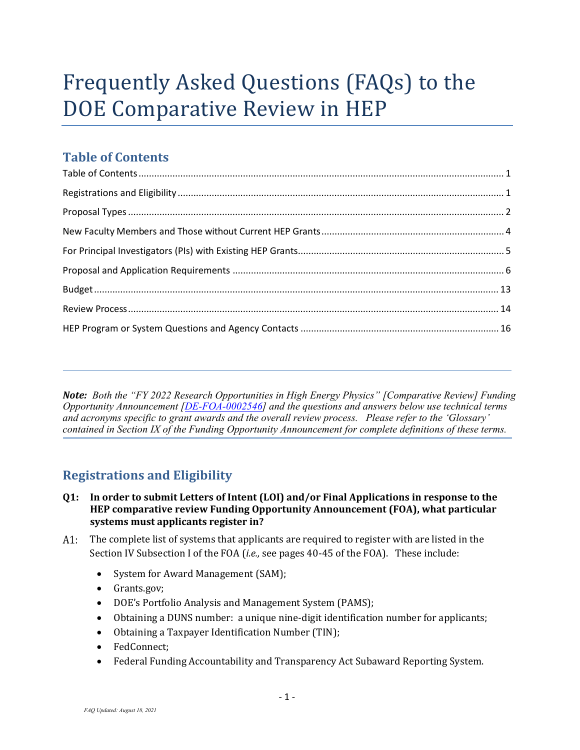# Frequently Asked Questions (FAQs) to the DOE Comparative Review in HEP

# <span id="page-0-0"></span>**Table of Contents**

*Note: Both the "FY 2022 Research Opportunities in High Energy Physics" [Comparative Review] Funding Opportunity Announcement [\[DE-FOA-0002546\]](https://science.osti.gov/hep/Funding-Opportunities) and the questions and answers below use technical terms and acronyms specific to grant awards and the overall review process. Please refer to the 'Glossary' contained in Section IX of the Funding Opportunity Announcement for complete definitions of these terms.*

# **Registrations and Eligibility**

<span id="page-0-1"></span>í

- **Q1: In order to submit Letters of Intent (LOI) and/or Final Applications in response to the HEP comparative review Funding Opportunity Announcement (FOA), what particular systems must applicants register in?**
- The complete list of systems that applicants are required to register with are listed in the A1: Section IV Subsection I of the FOA (*i.e.,* see pages 40-45 of the FOA). These include:
	- System for Award Management (SAM);
	- Grants.gov;
	- DOE's Portfolio Analysis and Management System (PAMS);
	- Obtaining a DUNS number: a unique nine-digit identification number for applicants;
	- Obtaining a Taxpayer Identification Number (TIN);
	- FedConnect;
	- Federal Funding Accountability and Transparency Act Subaward Reporting System.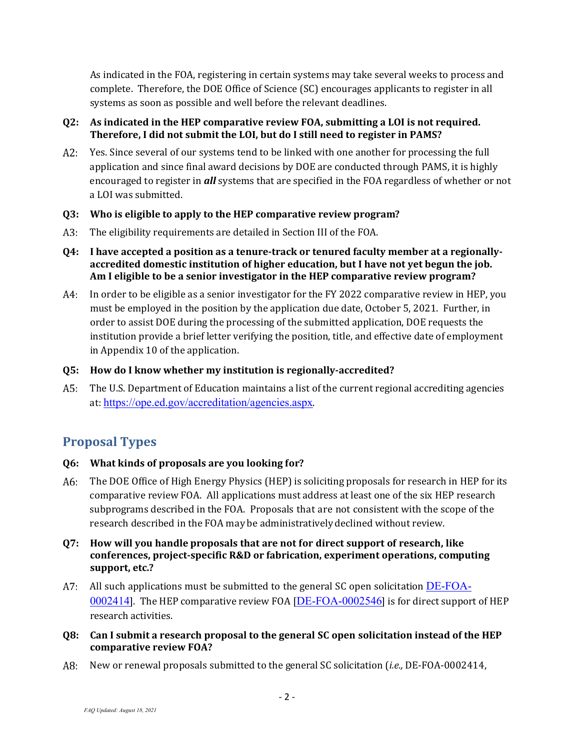As indicated in the FOA, registering in certain systems may take several weeks to process and complete. Therefore, the DOE Office of Science (SC) encourages applicants to register in all systems as soon as possible and well before the relevant deadlines.

#### **Q2: As indicated in the HEP comparative review FOA, submitting a LOI is not required. Therefore, I did not submit the LOI, but do I still need to register in PAMS?**

 $A2:$ Yes. Since several of our systems tend to be linked with one another for processing the full application and since final award decisions by DOE are conducted through PAMS, it is highly encouraged to register in *all* systems that are specified in the FOA regardless of whether or not a LOI was submitted.

#### **Q3: Who is eligible to apply to the HEP comparative review program?**

A3: The eligibility requirements are detailed in Section III of the FOA.

#### <span id="page-1-1"></span>**Q4: I have accepted a position as a tenure-track or tenured faculty member at a regionallyaccredited domestic institution of higher education, but I have not yet begun the job. Am I eligible to be a senior investigator in the HEP comparative review program?**

In order to be eligible as a senior investigator for the FY 2022 comparative review in HEP, you A4: must be employed in the position by the application due date, October 5, 2021. Further, in order to assist DOE during the processing of the submitted application, DOE requests the institution provide a brief letter verifying the position, title, and effective date of employment in Appendix 10 of the application.

#### **Q5: How do I know whether my institution is regionally-accredited?**

 $A5:$ The U.S. Department of Education maintains a list of the current regional accrediting agencies at: <https://ope.ed.gov/accreditation/agencies.aspx>.

# <span id="page-1-0"></span>**Proposal Types**

# **Q6: What kinds of proposals are you looking for?**

The DOE Office of High Energy Physics (HEP) is soliciting proposals for research in HEP for its comparative review FOA. All applications must address at least one of the six HEP research subprograms described in the FOA. Proposals that are not consistent with the scope of the research described in the FOA maybe administrativelydeclined without review.

#### **Q7: How will you handle proposals that are not for direct support of research, like conferences, project-specific R&D or fabrication, experiment operations, computing support, etc.?**

- $A$ . All such applications must be submitted to the general SC open solicitation  $DE\text{-FOA}$ [0002414](https://science.osti.gov/-/media/grants/pdf/foas/2020/SC_FOA_0002181.pdf)]. The HEP comparative review FOA [[DE-FOA-0002546](https://science.osti.gov/hep/Funding-Opportunities/)] is for direct support of HEP research activities.
- **Q8: Can I submit a research proposal to the general SC open solicitation instead of the HEP comparative review FOA?**
- New or renewal proposals submitted to the general SC solicitation (*i.e.,* DE-FOA-0002414,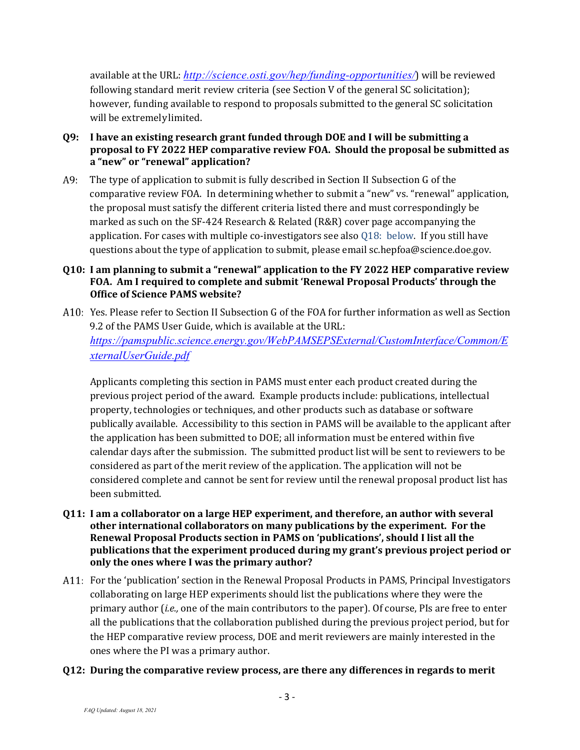available at the URL: *<http://science.osti.gov/hep/funding-opportunities/>*) will be reviewed following standard merit review criteria (see Section V of the general SC solicitation); however, funding available to respond to proposals submitted to the general SC solicitation will be extremelylimited.

- <span id="page-2-0"></span>**Q9: I have an existing research grant funded through DOE and I will be submitting a proposal to FY 2022 HEP comparative review FOA. Should the proposal be submitted as a "new" or "renewal" application?**
- A9: The type of application to submit is fully described in Section II Subsection G of the comparative review FOA. In determining whether to submit a "new" vs. "renewal" application, the proposal must satisfy the different criteria listed there and must correspondingly be marked as such on the SF-424 Research & Related (R&R) cover page accompanying the application. For cases with multiple co-investigators see also [Q18: below.](#page-4-1) If you still have questions about the type of application to submit, please email [sc.hepfoa@science.doe.gov.](mailto:sc.hepfoa@science.doe.gov)

#### **Q10: I am planning to submit a "renewal" application to the FY 2022 HEP comparative review FOA. Am I required to complete and submit 'Renewal Proposal Products' through the Office of Science PAMS website?**

A10: Yes. Please refer to Section II Subsection G of the FOA for further information as well as Section 9.2 of the PAMS User Guide, which is available at the URL: *[https://pamspublic.science.energy.gov/WebPAMSEPSExternal/CustomInterface/Common/E](https://pamspublic.science.energy.gov/WebPAMSEPSExternal/CustomInterface/Common/ExternalUserGuide.pdf) [xternalUserGuide.pdf](https://pamspublic.science.energy.gov/WebPAMSEPSExternal/CustomInterface/Common/ExternalUserGuide.pdf)*

Applicants completing this section in PAMS must enter each product created during the previous project period of the award. Example products include: publications, intellectual property, technologies or techniques, and other products such as database or software publically available. Accessibility to this section in PAMS will be available to the applicant after the application has been submitted to DOE; all information must be entered within five calendar days after the submission. The submitted product list will be sent to reviewers to be considered as part of the merit review of the application. The application will not be considered complete and cannot be sent for review until the renewal proposal product list has been submitted.

- **Q11: I am a collaborator on a large HEP experiment, and therefore, an author with several other international collaborators on many publications by the experiment. For the Renewal Proposal Products section in PAMS on 'publications', should I list all the publications that the experiment produced during my grant's previous project period or only the ones where I was the primary author?**
- For the 'publication' section in the Renewal Proposal Products in PAMS, Principal Investigators collaborating on large HEP experiments should list the publications where they were the primary author (*i.e.,* one of the main contributors to the paper). Of course, PIs are free to enter all the publications that the collaboration published during the previous project period, but for the HEP comparative review process, DOE and merit reviewers are mainly interested in the ones where the PI was a primary author.
- **Q12: During the comparative review process, are there any differences in regards to merit**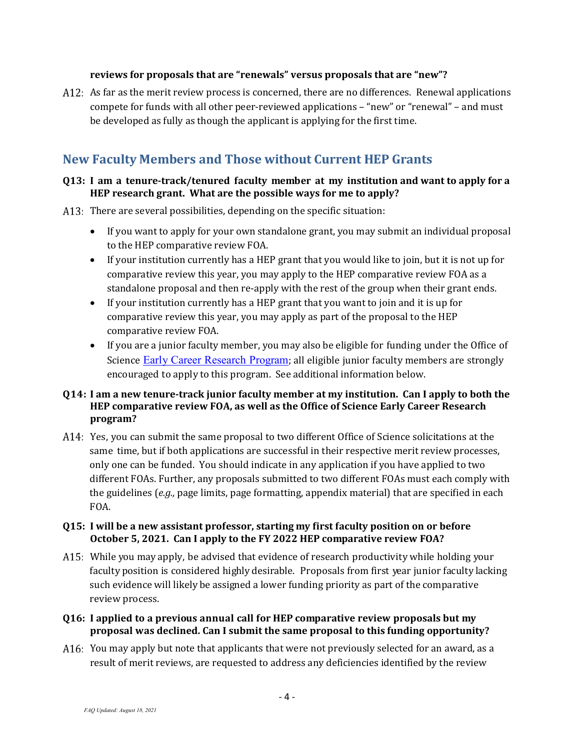#### **reviews for proposals that are "renewals" versus proposals that are "new"?**

A12: As far as the merit review process is concerned, there are no differences. Renewal applications compete for funds with all other peer-reviewed applications – "new" or "renewal" – and must be developed as fully as though the applicant is applying for the first time.

# <span id="page-3-0"></span>**New Faculty Members and Those without Current HEP Grants**

#### **Q13: I am a tenure-track/tenured faculty member at my institution and want to apply for a HEP research grant. What are the possible ways for me to apply?**

- A13: There are several possibilities, depending on the specific situation:
	- If you want to apply for your own standalone grant, you may submit an individual proposal to the HEP comparative review FOA.
	- If your institution currently has a HEP grant that you would like to join, but it is not up for comparative review this year, you may apply to the HEP comparative review FOA as a standalone proposal and then re-apply with the rest of the group when their grant ends.
	- If your institution currently has a HEP grant that you want to join and it is up for comparative review this year, you may apply as part of the proposal to the HEP comparative review FOA.
	- If you are a junior faculty member, you may also be eligible for funding under the [Office](http://science.osti.gov/hep/funding-opportunities/) of [Science](http://science.osti.gov/hep/funding-opportunities/) [Early Career](http://science.osti.gov/early-career/) Research Program; all eligible junior faculty members are strongly encouraged to apply to this program. See additional information below.

#### **Q14: I am a new tenure-track junior faculty member at my institution. Can I apply to both the HEP comparative review FOA, as well as the Office of Science Early Career Research program?**

A14: Yes, you can submit the same proposal to two different Office of Science solicitations at the same time, but if both applications are successful in their respective merit review processes, only one can be funded. You should indicate in any application if you have applied to two different FOAs. Further, any proposals submitted to two different FOAs must each comply with the guidelines (*e.g.,* page limits, page formatting, appendix material) that are specified in each FOA.

#### **Q15: I will be a new assistant professor, starting my first faculty position on or before October 5, 2021. Can I apply to the FY 2022 HEP comparative review FOA?**

- A15: While you may apply, be advised that evidence of research productivity while holding your faculty position is considered highly desirable. Proposals from first year junior faculty lacking such evidence will likely be assigned a lower funding priority as part of the comparative review process.
- **Q16: I applied to a previous annual call for HEP comparative review proposals but my proposal was declined. Can I submit the same proposal to this funding opportunity?**
- A16: You may apply but note that applicants that were not previously selected for an award, as a result of merit reviews, are requested to address any deficiencies identified by the review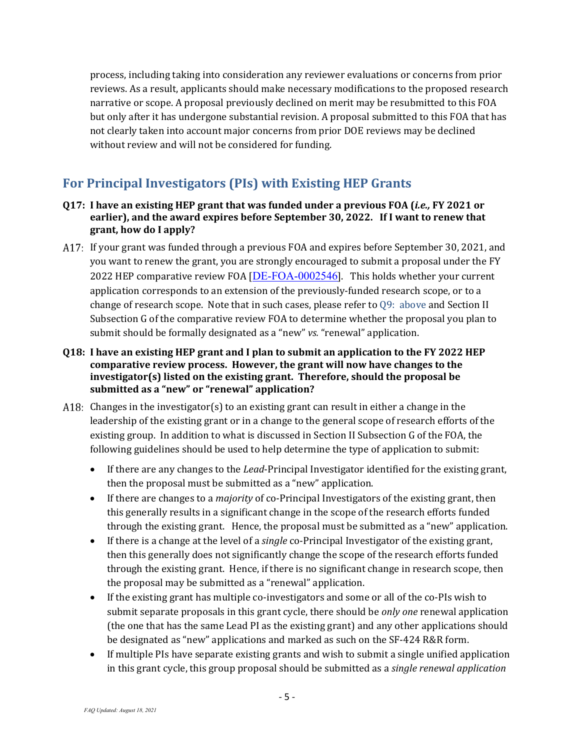process, including taking into consideration any reviewer evaluations or concerns from prior reviews. As a result, applicants should make necessary modifications to the proposed research narrative or scope. A proposal previously declined on merit may be resubmitted to this FOA but only after it has undergone substantial revision. A proposal submitted to this FOA that has not clearly taken into account major concerns from prior DOE reviews may be declined without review and will not be considered for funding.

# <span id="page-4-0"></span>**For Principal Investigators (PIs) with Existing HEP Grants**

- **Q17: I have an existing HEP grant that was funded under a previous FOA (***i.e.,* **FY 2021 or earlier), and the award expires before September 30, 2022. If I want to renew that grant, how do I apply?**
- If your grant was funded through a previous FOA and expires before September 30, 2021, and you want to renew the grant, you are strongly encouraged to submit a proposal under the FY 2022 HEP comparative review FOA  $[**DE-FOA-0002546**]$  $[**DE-FOA-0002546**]$  $[**DE-FOA-0002546**]$ . This holds whether your current application corresponds to an extension of the previously-funded research scope, or to a change of research scope. Note that in such cases, please refer to [Q9: above](#page-2-0) and Section II Subsection G of the comparative review FOA to determine whether the proposal you plan to submit should be formally designated as a "new" *vs.* "renewal" application.
- <span id="page-4-1"></span>**Q18: I have an existing HEP grant and I plan to submit an application to the FY 2022 HEP comparative review process. However, the grant will now have changes to the investigator(s) listed on the existing grant. Therefore, should the proposal be submitted as a "new" or "renewal" application?**
- A18: Changes in the investigator(s) to an existing grant can result in either a change in the leadership of the existing grant or in a change to the general scope of research efforts of the existing group. In addition to what is discussed in Section II Subsection G of the FOA, the following guidelines should be used to help determine the type of application to submit:
	- If there are any changes to the *Lead*-Principal Investigator identified for the existing grant, then the proposal must be submitted as a "new" application.
	- If there are changes to a *majority* of co-Principal Investigators of the existing grant, then this generally results in a significant change in the scope of the research efforts funded through the existing grant. Hence, the proposal must be submitted as a "new" application.
	- If there is a change at the level of a *single* co-Principal Investigator of the existing grant, then this generally does not significantly change the scope of the research efforts funded through the existing grant. Hence, if there is no significant change in research scope, then the proposal may be submitted as a "renewal" application.
	- If the existing grant has multiple co-investigators and some or all of the co-PIs wish to submit separate proposals in this grant cycle, there should be *only one* renewal application (the one that has the same Lead PI as the existing grant) and any other applications should be designated as "new" applications and marked as such on the SF-424 R&R form.
	- If multiple PIs have separate existing grants and wish to submit a single unified application in this grant cycle, this group proposal should be submitted as a *single renewal application*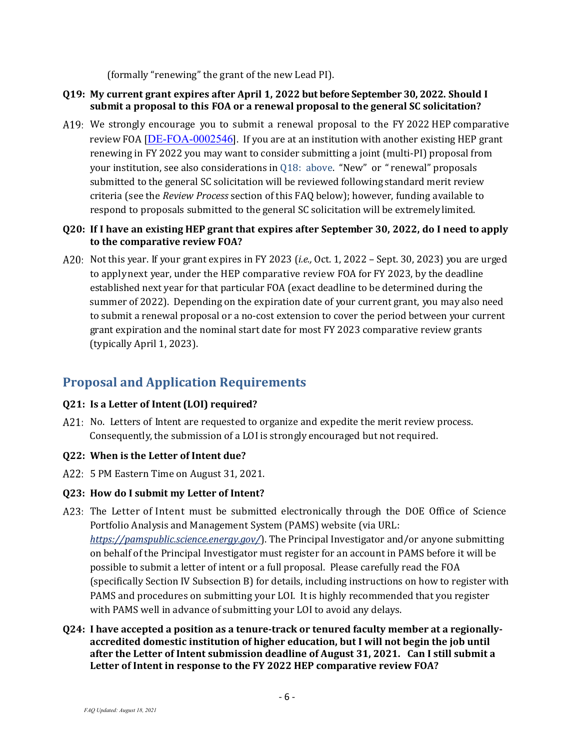(formally "renewing" the grant of the new Lead PI).

#### **Q19: My current grant expires after April 1, 2022 but before September 30, 2022. Should I submit a proposal to this FOA or a renewal proposal to the general SC solicitation?**

A19: We strongly encourage you to submit a renewal proposal to the FY 2022 HEP comparative review FOA [[DE-FOA-0002546](https://science.osti.gov/hep/Funding-Opportunities/)]. If you are at an institution with another existing HEP grant renewing in FY 2022 you may want to consider submitting a joint (multi-PI) proposal from your institution, see also considerations in [Q18: above.](#page-4-1) "New" or " renewal" proposals submitted to the general SC solicitation will be reviewed following standard merit review criteria (see the *Review Process* section of this FAQ below); however, funding available to respond to proposals submitted to the general SC solicitation will be extremelylimited.

#### **Q20: If I have an existing HEP grant that expires after September 30, 2022, do I need to apply to the comparative review FOA?**

Not this year. If your grant expires in FY 2023 (*i.e.,* Oct. 1, 2022 – Sept. 30, 2023) you are urged to applynext year, under the HEP comparative review FOA for FY 2023, by the deadline established next year for that particular FOA (exact deadline to be determined during the summer of 2022). Depending on the expiration date of your current grant, you may also need to submit a renewal proposal or a no-cost extension to cover the period between your current grant expiration and the nominal start date for most FY 2023 comparative review grants (typically April 1, 2023).

# <span id="page-5-0"></span>**Proposal and Application Requirements**

# **Q21: Is a Letter of Intent (LOI) required?**

A21: No. Letters of Intent are requested to organize and expedite the merit review process. Consequently, the submission of a LOIis strongly encouraged but not required.

# **Q22: When is the Letter of Intent due?**

5 PM Eastern Time on August 31, 2021.

#### **Q23: How do I submit my Letter of Intent?**

- A23: The Letter of Intent must be submitted electronically through the DOE Office of Science Portfolio Analysis and Management System (PAMS) website (via URL: *<https://pamspublic.science.energy.gov/>*). The Principal Investigator and/or anyone submitting on behalf of the Principal Investigator must register for an account in PAMS before it will be possible to submit a letter of intent or a full proposal. Please carefully read the FOA (specifically Section IV Subsection B) for details, including instructions on how to register with PAMS and procedures on submitting your LOI. It is highly recommended that you register with PAMS well in advance of submitting your LOI to avoid any delays.
- **Q24: I have accepted a position as a tenure-track or tenured faculty member at a regionallyaccredited domestic institution of higher education, but I will not begin the job until after the Letter of Intent submission deadline of August 31, 2021. Can I still submit a Letter of Intent in response to the FY 2022 HEP comparative review FOA?**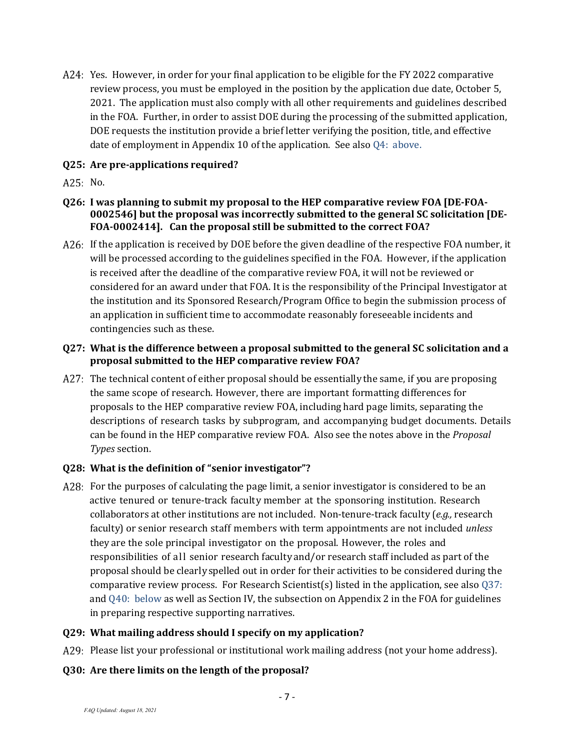A24: Yes. However, in order for your final application to be eligible for the FY 2022 comparative review process, you must be employed in the position by the application due date, October 5, 2021. The application must also comply with all other requirements and guidelines described in the FOA. Further, in order to assist DOE during the processing of the submitted application, DOE requests the institution provide a brief letter verifying the position, title, and effective date of employment in Appendix 10 of the application. See also [Q4: above.](#page-1-1)

#### **Q25: Are pre-applications required?**

- A25: No.
- **Q26: I was planning to submit my proposal to the HEP comparative review FOA [DE-FOA-0002546] but the proposal was incorrectly submitted to the general SC solicitation [DE-FOA-0002414]. Can the proposal still be submitted to the correct FOA?**
- A26: If the application is received by DOE before the given deadline of the respective FOA number, it will be processed according to the guidelines specified in the FOA. However, if the application is received after the deadline of the comparative review FOA, it will not be reviewed or considered for an award under that FOA. It is the responsibility of the Principal Investigator at the institution and its Sponsored Research/Program Office to begin the submission process of an application in sufficient time to accommodate reasonably foreseeable incidents and contingencies such as these.

#### **Q27: What is the difference between a proposal submitted to the general SC solicitation and a proposal submitted to the HEP comparative review FOA?**

A27: The technical content of either proposal should be essentially the same, if you are proposing the same scope of research. However, there are important formatting differences for proposals to the HEP comparative review FOA, including hard page limits, separating the descriptions of research tasks by subprogram, and accompanying budget documents. Details can be found in the HEP comparative review FOA. Also see the notes above in the *Proposal Types* section.

# **Q28: What is the definition of "senior investigator"?**

A28: For the purposes of calculating the page limit, a senior investigator is considered to be an active tenured or tenure-track faculty member at the sponsoring institution. Research collaborators at other institutions are not included. Non-tenure-track faculty (*e.g.,* research faculty) or senior research staff members with term appointments are not included *unless* they are the sole principal investigator on the proposal. However, the roles and responsibilities of all senior research facultyand/or research staff included as part of the proposal should be clearlyspelled out in order for their activities to be considered during the comparative review process. For Research Scientist(s) listed in the application, see als[o Q37:](#page-8-0)  and [Q40: below](#page-9-0) as well as Section IV, the subsection on Appendix 2 in the FOA for guidelines in preparing respective supporting narratives.

#### **Q29: What mailing address should I specify on my application?**

- A29: Please list your professional or institutional work mailing address (not your home address).
- **Q30: Are there limits on the length of the proposal?**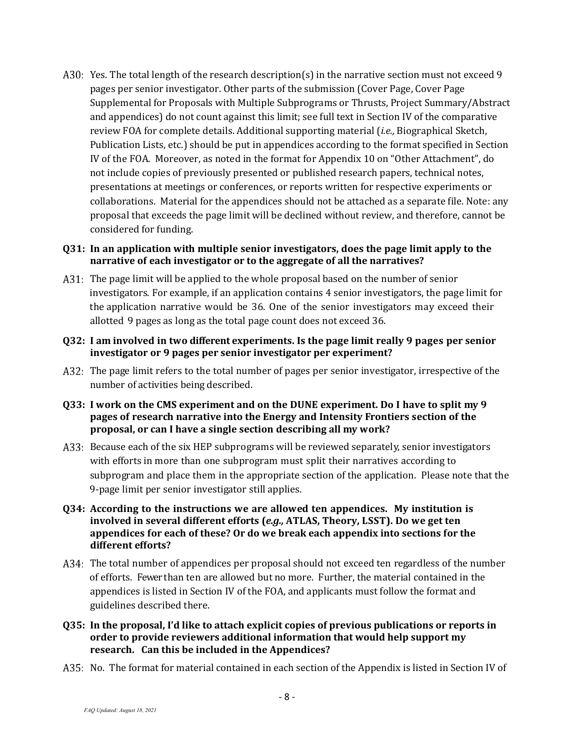A30: Yes. The total length of the research description(s) in the narrative section must not exceed 9 pages per senior investigator. Other parts of the submission (Cover Page, Cover Page Supplemental for Proposals with Multiple Subprograms or Thrusts, Project Summary/Abstract and appendices) do not count against this limit; see full text in Section IV of the comparative review FOA for complete details. Additional supporting material (*i.e.,* Biographical Sketch, Publication Lists, etc.) should be put in appendices according to the format specified in Section IV of the FOA. Moreover, as noted in the format for Appendix 10 on "Other Attachment", do not include copies of previously presented or published research papers, technical notes, presentations at meetings or conferences, or reports written for respective experiments or collaborations. Material for the appendices should not be attached as a separate file. Note: any proposal that exceeds the page limit will be declined without review, and therefore, cannot be considered for funding.

#### **Q31: In an application with multiple senior investigators, does the page limit apply to the narrative of each investigator or to the aggregate of all the narratives?**

- A31: The page limit will be applied to the whole proposal based on the number of senior investigators. For example, if an application contains 4 senior investigators, the page limit for the application narrative would be 36. One of the senior investigators may exceed their allotted 9 pages as long as the total page count does not exceed 36.
- **Q32: I am involved in two different experiments. Is the page limit really 9 pages per senior investigator or 9 pages per senior investigator per experiment?**
- A32: The page limit refers to the total number of pages per senior investigator, irrespective of the number of activities being described.
- **Q33: I work on the CMS experiment and on the DUNE experiment. Do I have to split my 9 pages of research narrative into the Energy and Intensity Frontiers section of the proposal, or can I have a single section describing all my work?**
- A33: Because each of the six HEP subprograms will be reviewed separately, senior investigators with efforts in more than one subprogram must split their narratives according to subprogram and place them in the appropriate section of the application. Please note that the 9-page limit per senior investigator still applies.
- **Q34: According to the instructions we are allowed ten appendices. My institution is involved in several different efforts (***e.g.,* **ATLAS, Theory, LSST). Do we get ten appendices for each of these? Or do we break each appendix into sections for the different efforts?**
- The total number of appendices per proposal should not exceed ten regardless of the number of efforts. Fewer than ten are allowed but no more. Further, the material contained in the appendices is listed in Section IV of the FOA, and applicants must follow the format and guidelines described there.
- **Q35: In the proposal, I'd like to attach explicit copies of previous publications or reports in order to provide reviewers additional information that would help support my research. Can this be included in the Appendices?**
- A35: No. The format for material contained in each section of the Appendix is listed in Section IV of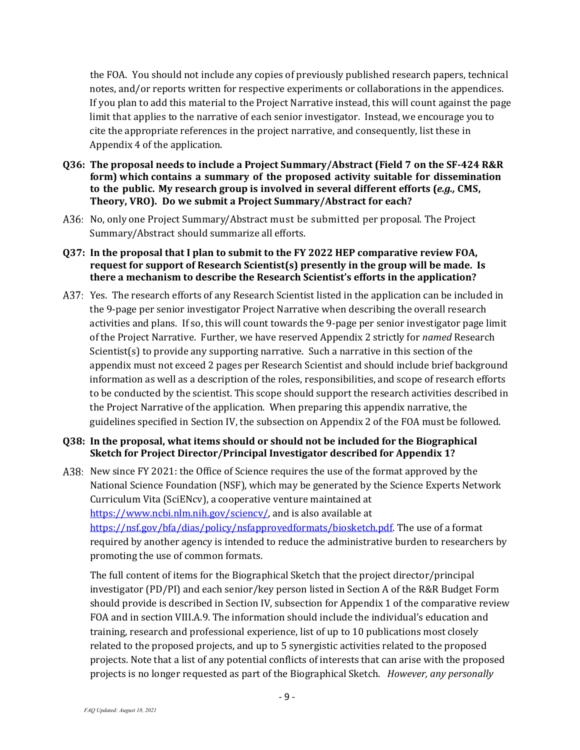the FOA. You should not include any copies of previously published research papers, technical notes, and/or reports written for respective experiments or collaborations in the appendices. If you plan to add this material to the Project Narrative instead, this will count against the page limit that applies to the narrative of each senior investigator. Instead, we encourage you to cite the appropriate references in the project narrative, and consequently, list these in Appendix 4 of the application.

- **Q36: The proposal needs to include a Project Summary/Abstract (Field 7 on the SF-424 R&R form) which contains a summary of the proposed activity suitable for dissemination to the public. My research group is involved in several different efforts (***e.g.,* **CMS, Theory, VRO). Do we submit a Project Summary/Abstract for each?**
- A36: No, only one Project Summary/Abstract must be submitted per proposal. The Project Summary/Abstract should summarize all efforts.

#### <span id="page-8-0"></span>**Q37: In the proposal that I plan to submit to the FY 2022 HEP comparative review FOA, request for support of Research Scientist(s) presently in the group will be made. Is there a mechanism to describe the Research Scientist's efforts in the application?**

A37: Yes. The research efforts of any Research Scientist listed in the application can be included in the 9-page per senior investigator Project Narrative when describing the overall research activities and plans. If so, this will count towards the 9-page per senior investigator page limit of the Project Narrative. Further, we have reserved Appendix 2 strictly for *named* Research Scientist(s) to provide any supporting narrative. Such a narrative in this section of the appendix must not exceed 2 pages per Research Scientist and should include brief background information as well as a description of the roles, responsibilities, and scope of research efforts to be conducted by the scientist. This scope should support the research activities described in the Project Narrative of the application. When preparing this appendix narrative, the guidelines specified in Section IV, the subsection on Appendix 2 of the FOA must be followed.

#### **Q38: In the proposal, what items should or should not be included for the Biographical Sketch for Project Director/Principal Investigator described for Appendix 1?**

A38: New since FY 2021: the Office of Science requires the use of the format approved by the National Science Foundation (NSF), which may be generated by the Science Experts Network Curriculum Vita (SciENcv), a cooperative venture maintained at https://www.ncbi.nlm.nih.gov/sciency/, and is also available at [https://nsf.gov/bfa/dias/policy/nsfapprovedformats/biosketch.pdf.](https://nsf.gov/bfa/dias/policy/nsfapprovedformats/biosketch.pdf) The use of a format required by another agency is intended to reduce the administrative burden to researchers by promoting the use of common formats.

The full content of items for the Biographical Sketch that the project director/principal investigator (PD/PI) and each senior/key person listed in Section A of the R&R Budget Form should provide is described in Section IV, subsection for Appendix 1 of the comparative review FOA and in section VIII.A.9. The information should include the individual's education and training, research and professional experience, list of up to 10 publications most closely related to the proposed projects, and up to 5 synergistic activities related to the proposed projects. Note that a list of any potential conflicts of interests that can arise with the proposed projects is no longer requested as part of the Biographical Sketch. *However, any personally*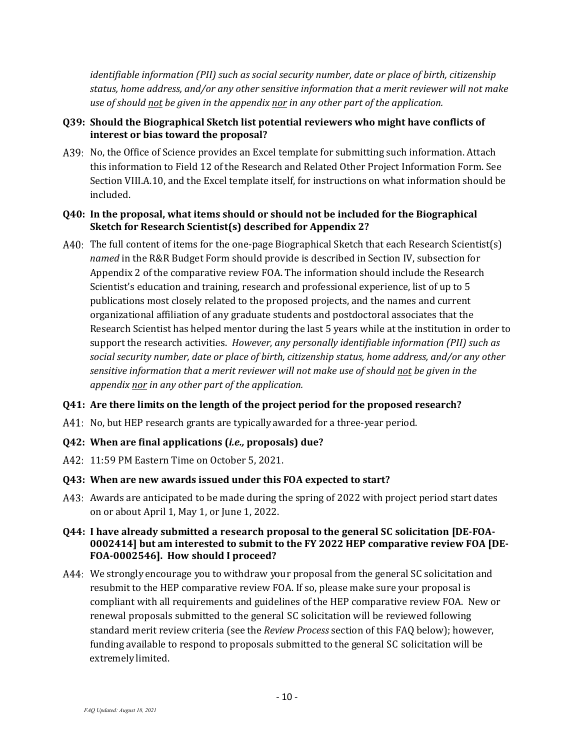*identifiable information (PII) such as social security number, date or place of birth, citizenship status, home address, and/or any other sensitive information that a merit reviewer will not make use of should not be given in the appendix nor in any other part of the application.*

#### **Q39: Should the Biographical Sketch list potential reviewers who might have conflicts of interest or bias toward the proposal?**

A39: No, the Office of Science provides an Excel template for submitting such information. Attach this information to Field 12 of the Research and Related Other Project Information Form. See Section VIII.A.10, and the Excel template itself, for instructions on what information should be included.

#### <span id="page-9-0"></span>**Q40: In the proposal, what items should or should not be included for the Biographical Sketch for Research Scientist(s) described for Appendix 2?**

A40: The full content of items for the one-page Biographical Sketch that each Research Scientist(s) *named* in the R&R Budget Form should provide is described in Section IV, subsection for Appendix 2 of the comparative review FOA. The information should include the Research Scientist's education and training, research and professional experience, list of up to 5 publications most closely related to the proposed projects, and the names and current organizational affiliation of any graduate students and postdoctoral associates that the Research Scientist has helped mentor during the last 5 years while at the institution in order to support the research activities. *However, any personally identifiable information (PII) such as social security number, date or place of birth, citizenship status, home address, and/or any other sensitive information that a merit reviewer will not make use of should not be given in the appendix nor in any other part of the application.*

# **Q41: Are there limits on the length of the project period for the proposed research?**

A41: No, but HEP research grants are typically awarded for a three-year period.

# **Q42: When are final applications (***i.e.,* **proposals) due?**

11:59 PM Eastern Time on October 5, 2021.

#### **Q43: When are new awards issued under this FOA expected to start?**

A43: Awards are anticipated to be made during the spring of 2022 with project period start dates on or about April 1, May 1, or June 1, 2022.

#### **Q44: I have already submitted a research proposal to the general SC solicitation [DE-FOA-0002414] but am interested to submit to the FY 2022 HEP comparative review FOA [DE-FOA-0002546]. How should I proceed?**

A44: We strongly encourage you to withdraw your proposal from the general SC solicitation and resubmit to the HEP comparative review FOA. If so, please make sure your proposal is compliant with all requirements and guidelines of the HEP comparative review FOA. New or renewal proposals submitted to the general SC solicitation will be reviewed following standard merit review criteria (see the *Review Process* section of this FAQ below); however, funding available to respond to proposals submitted to the general SC solicitation will be extremelylimited.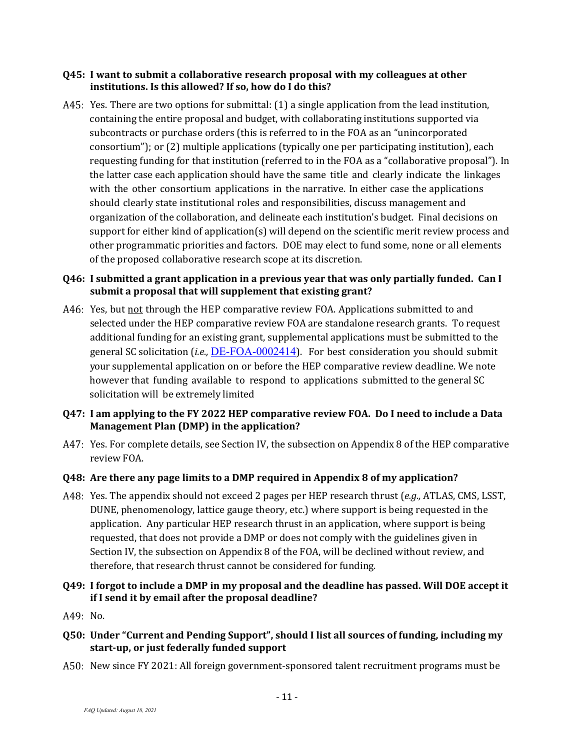#### **Q45: I want to submit a collaborative research proposal with my colleagues at other institutions. Is this allowed? If so, how do I do this?**

A45: Yes. There are two options for submittal: (1) a single application from the lead institution, containing the entire proposal and budget, with collaborating institutions supported via subcontracts or purchase orders (this is referred to in the FOA as an "unincorporated consortium"); or (2) multiple applications (typically one per participating institution), each requesting funding for that institution (referred to in the FOA as a "collaborative proposal"). In the latter case each application should have the same title and clearly indicate the linkages with the other consortium applications in the narrative. In either case the applications should clearly state institutional roles and responsibilities, discuss management and organization of the collaboration, and delineate each institution's budget. Final decisions on support for either kind of application(s) will depend on the scientific merit review process and other programmatic priorities and factors. DOE may elect to fund some, none or all elements of the proposed collaborative research scope at its discretion.

#### **Q46: I submitted a grant application in a previous year that was only partially funded. Can I submit a proposal that will supplement that existing grant?**

A46: Yes, but not through the HEP comparative review FOA. Applications submitted to and selected under the HEP comparative review FOA are standalone research grants. To request additional funding for an existing grant, supplemental applications must be submitted to the general SC solicitation (*i.e.,* [DE-FOA-0002414](https://science.osti.gov/-/media/grants/pdf/foas/2020/SC_FOA_0002181.pdf)). For best consideration you should submit your supplemental application on or before the HEP comparative review deadline. We note however that funding available to respond to applications submitted to the general SC solicitation will be extremely limited

#### **Q47: I am applying to the FY 2022 HEP comparative review FOA. Do I need to include a Data Management Plan (DMP) in the application?**

A47: Yes. For complete details, see Section IV, the subsection on Appendix 8 of the HEP comparative review FOA.

# **Q48: Are there any page limits to a DMP required in Appendix 8 of my application?**

Yes. The appendix should not exceed 2 pages per HEP research thrust (*e.g.,* ATLAS, CMS, LSST, DUNE, phenomenology, lattice gauge theory, etc.) where support is being requested in the application. Any particular HEP research thrust in an application, where support is being requested, that does not provide a DMP or does not comply with the guidelines given in Section IV, the subsection on Appendix 8 of the FOA, will be declined without review, and therefore, that research thrust cannot be considered for funding.

#### **Q49: I forgot to include a DMP in my proposal and the deadline has passed. Will DOE accept it if I send it by email after the proposal deadline?**

- A49: No.
- **Q50: Under "Current and Pending Support", should I list all sources of funding, including my start-up, or just federally funded support**
- A50: New since FY 2021: All foreign government-sponsored talent recruitment programs must be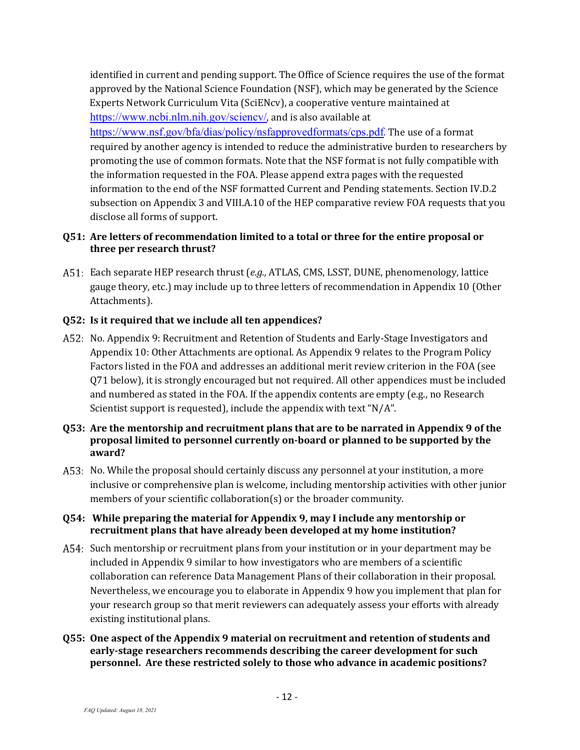identified in current and pending support. The Office of Science requires the use of the format approved by the National Science Foundation (NSF), which may be generated by the Science Experts Network Curriculum Vita (SciENcv), a cooperative venture maintained at <https://www.ncbi.nlm.nih.gov/sciencv/>, and is also available at <https://www.nsf.gov/bfa/dias/policy/nsfapprovedformats/cps.pdf>. The use of a format required by another agency is intended to reduce the administrative burden to researchers by promoting the use of common formats. Note that the NSF format is not fully compatible with the information requested in the FOA. Please append extra pages with the requested information to the end of the NSF formatted Current and Pending statements. Section IV.D.2 subsection on Appendix 3 and VIII.A.10 of the HEP comparative review FOA requests that you disclose all forms of support.

#### **Q51: Are letters of recommendation limited to a total or three for the entire proposal or three per research thrust?**

Each separate HEP research thrust (*e.g.,* ATLAS, CMS, LSST, DUNE, phenomenology, lattice gauge theory, etc.) may include up to three letters of recommendation in Appendix 10 (Other Attachments).

#### **Q52: Is it required that we include all ten appendices?**

- A52: No. Appendix 9: Recruitment and Retention of Students and Early-Stage Investigators and Appendix 10: Other Attachments are optional. As Appendix 9 relates to the Program Policy Factors listed in the FOA and addresses an additional merit review criterion in the FOA (see Q71 below), it is strongly encouraged but not required. All other appendices must be included and numbered as stated in the FOA. If the appendix contents are empty (e.g., no Research Scientist support is requested), include the appendix with text "N/A".
- **Q53: Are the mentorship and recruitment plans that are to be narrated in Appendix 9 of the proposal limited to personnel currently on-board or planned to be supported by the award?**
- A53: No. While the proposal should certainly discuss any personnel at your institution, a more inclusive or comprehensive plan is welcome, including mentorship activities with other junior members of your scientific collaboration(s) or the broader community.

#### **Q54: While preparing the material for Appendix 9, may I include any mentorship or recruitment plans that have already been developed at my home institution?**

- A54: Such mentorship or recruitment plans from your institution or in your department may be included in Appendix 9 similar to how investigators who are members of a scientific collaboration can reference Data Management Plans of their collaboration in their proposal. Nevertheless, we encourage you to elaborate in Appendix 9 how you implement that plan for your research group so that merit reviewers can adequately assess your efforts with already existing institutional plans.
- **Q55: One aspect of the Appendix 9 material on recruitment and retention of students and early-stage researchers recommends describing the career development for such personnel. Are these restricted solely to those who advance in academic positions?**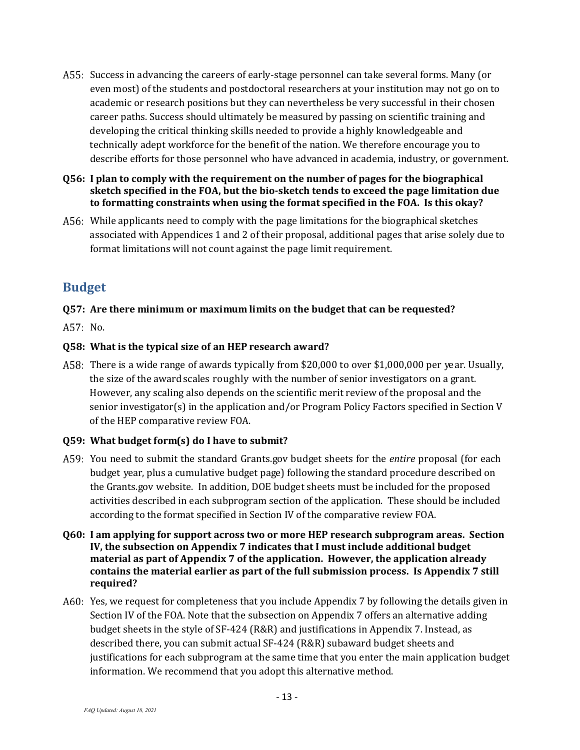- A55: Success in advancing the careers of early-stage personnel can take several forms. Many (or even most) of the students and postdoctoral researchers at your institution may not go on to academic or research positions but they can nevertheless be very successful in their chosen career paths. Success should ultimately be measured by passing on scientific training and developing the critical thinking skills needed to provide a highly knowledgeable and technically adept workforce for the benefit of the nation. We therefore encourage you to describe efforts for those personnel who have advanced in academia, industry, or government.
- **Q56: I plan to comply with the requirement on the number of pages for the biographical sketch specified in the FOA, but the bio-sketch tends to exceed the page limitation due to formatting constraints when using the format specified in the FOA. Is this okay?**
- A56: While applicants need to comply with the page limitations for the biographical sketches associated with Appendices 1 and 2 of their proposal, additional pages that arise solely due to format limitations will not count against the page limit requirement.

# <span id="page-12-0"></span>**Budget**

# **Q57: Are there minimum or maximum limits on the budget that can be requested?**

A57: No.

# **Q58: What is the typical size of an HEP research award?**

A58: There is a wide range of awards typically from \$20,000 to over \$1,000,000 per year. Usually, the size of the award scales roughly with the number of senior investigators on a grant. However, any scaling also depends on the scientific merit review of the proposal and the senior investigator(s) in the application and/or Program Policy Factors specified in Section V of the HEP comparative review FOA.

# **Q59: What budget form(s) do I have to submit?**

- You need to submit the standard Grants.gov budget sheets for the *entire* proposal (for each budget year, plus a cumulative budget page) following the standard procedure described on the Grants.gov website. In addition, DOE budget sheets must be included for the proposed activities described in each subprogram section of the application. These should be included according to the format specified in Section IV of the comparative review FOA.
- **Q60: I am applying for support across two or more HEP research subprogram areas. Section IV, the subsection on Appendix 7 indicates that I must include additional budget material as part of Appendix 7 of the application. However, the application already contains the material earlier as part of the full submission process. Is Appendix 7 still required?**
- A60: Yes, we request for completeness that you include Appendix 7 by following the details given in Section IV of the FOA. Note that the subsection on Appendix 7 offers an alternative adding budget sheets in the style of SF-424 (R&R) and justifications in Appendix 7. Instead, as described there, you can submit actual SF-424 (R&R) subaward budget sheets and justifications for each subprogram at the same time that you enter the main application budget information. We recommend that you adopt this alternative method.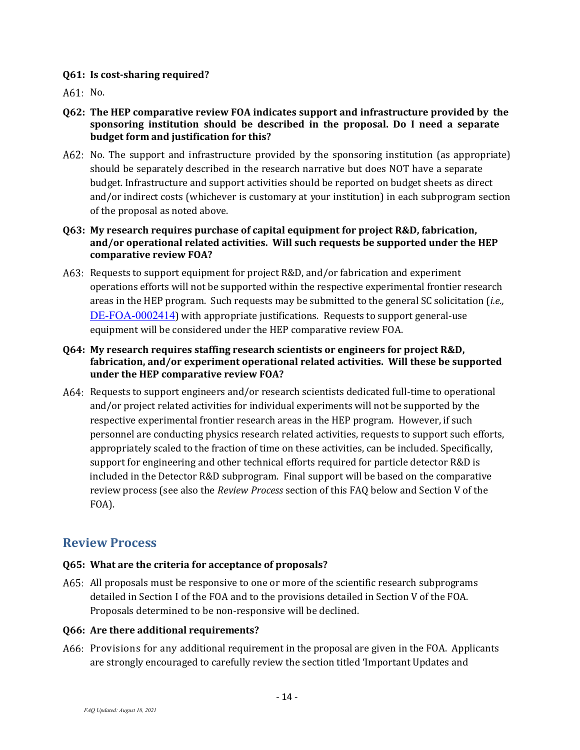#### **Q61: Is cost-sharing required?**

A61: No.

- **Q62: The HEP comparative review FOA indicates support and infrastructure provided by the sponsoring institution should be described in the proposal. Do I need a separate budget form and justification for this?**
- A62: No. The support and infrastructure provided by the sponsoring institution (as appropriate) should be separately described in the research narrative but does NOT have a separate budget. Infrastructure and support activities should be reported on budget sheets as direct and/or indirect costs (whichever is customary at your institution) in each subprogram section of the proposal as noted above.
- **Q63: My research requires purchase of capital equipment for project R&D, fabrication, and/or operational related activities. Will such requests be supported under the HEP comparative review FOA?**
- A63: Requests to support equipment for project R&D, and/or fabrication and experiment operations efforts will not be supported within the respective experimental frontier research areas in the HEP program. Such requests may be submitted to the general SC solicitation (*i.e.,* [DE-FOA-0002414](https://science.osti.gov/-/media/grants/pdf/foas/2020/SC_FOA_0002181.pdf)) with appropriate justifications. Requests to support general-use equipment will be considered under the HEP comparative review FOA.
- **Q64: My research requires staffing research scientists or engineers for project R&D, fabrication, and/or experiment operational related activities. Will these be supported under the HEP comparative review FOA?**
- Requests to support engineers and/or research scientists dedicated full-time to operational and/or project related activities for individual experiments will not be supported by the respective experimental frontier research areas in the HEP program. However, if such personnel are conducting physics research related activities, requests to support such efforts, appropriately scaled to the fraction of time on these activities, can be included. Specifically, support for engineering and other technical efforts required for particle detector R&D is included in the Detector R&D subprogram. Final support will be based on the comparative review process (see also the *Review Process* section of this FAQ below and Section V of the FOA).

# <span id="page-13-0"></span>**Review Process**

# **Q65: What are the criteria for acceptance of proposals?**

A65: All proposals must be responsive to one or more of the scientific research subprograms detailed in Section I of the FOA and to the provisions detailed in Section V of the FOA. Proposals determined to be non-responsive will be declined.

#### **Q66: Are there additional requirements?**

A66: Provisions for any additional requirement in the proposal are given in the FOA. Applicants are strongly encouraged to carefully review the section titled 'Important Updates and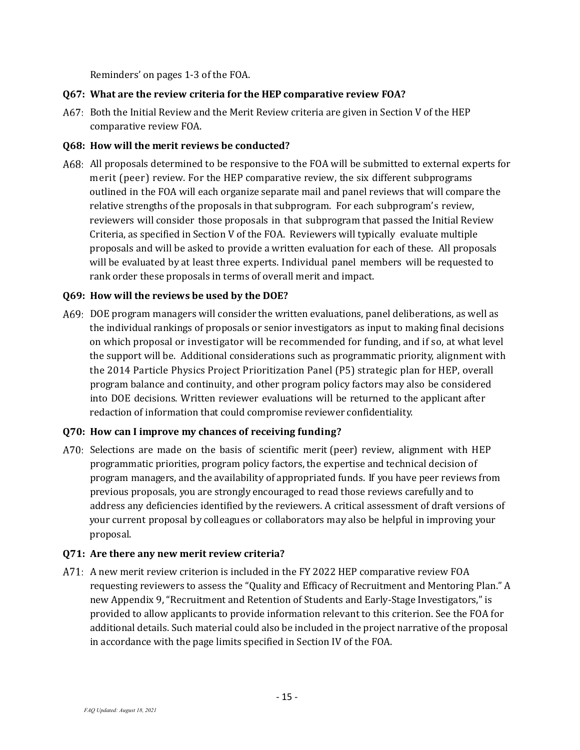Reminders' on pages 1-3 of the FOA.

#### **Q67: What are the review criteria for the HEP comparative review FOA?**

A67: Both the Initial Review and the Merit Review criteria are given in Section V of the HEP comparative review FOA.

#### **Q68: How will the merit reviews be conducted?**

A68: All proposals determined to be responsive to the FOA will be submitted to external experts for merit (peer) review. For the HEP comparative review, the six different subprograms outlined in the FOA will each organize separate mail and panel reviews that will compare the relative strengths of the proposals in that subprogram. For each subprogram's review, reviewers will consider those proposals in that subprogram that passed the Initial Review Criteria, as specified in Section V of the FOA. Reviewers will typically evaluate multiple proposals and will be asked to provide a written evaluation for each of these. All proposals will be evaluated by at least three experts. Individual panel members will be requested to rank order these proposals in terms of overall merit and impact.

#### **Q69: How will the reviews be used by the DOE?**

DOE program managers will consider the written evaluations, panel deliberations, as well as the individual rankings of proposals or senior investigators as input to making final decisions on which proposal or investigator will be recommended for funding, and if so, at what level the support will be. Additional considerations such as programmatic priority, alignment with the 2014 Particle Physics Project Prioritization Panel (P5) strategic plan for HEP, overall program balance and continuity, and other program policy factors may also be considered into DOE decisions. Written reviewer evaluations will be returned to the applicant after redaction of information that could compromise reviewer confidentiality.

# **Q70: How can I improve my chances of receiving funding?**

A70: Selections are made on the basis of scientific merit (peer) review, alignment with HEP programmatic priorities, program policy factors, the expertise and technical decision of program managers, and the availability of appropriated funds. If you have peer reviews from previous proposals, you are strongly encouraged to read those reviews carefully and to address any deficiencies identified by the reviewers. A critical assessment of draft versions of your current proposal by colleagues or collaborators may also be helpful in improving your proposal.

#### **Q71: Are there any new merit review criteria?**

A71: A new merit review criterion is included in the FY 2022 HEP comparative review FOA requesting reviewers to assess the "Quality and Efficacy of Recruitment and Mentoring Plan." A new Appendix 9, "Recruitment and Retention of Students and Early-Stage Investigators," is provided to allow applicants to provide information relevant to this criterion. See the FOA for additional details. Such material could also be included in the project narrative of the proposal in accordance with the page limits specified in Section IV of the FOA.